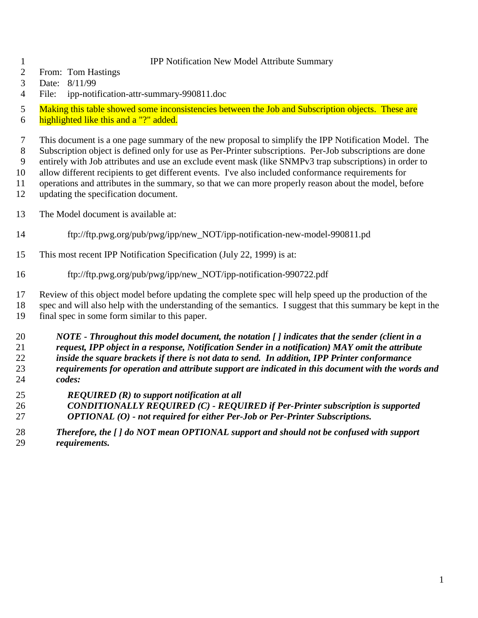## IPP Notification New Model Attribute Summary

- From: Tom Hastings
- Date: 8/11/99
- File: ipp-notification-attr-summary-990811.doc

5 Making this table showed some inconsistencies between the Job and Subscription objects. These are

6 highlighted like this and a "?" added.

 This document is a one page summary of the new proposal to simplify the IPP Notification Model. The Subscription object is defined only for use as Per-Printer subscriptions. Per-Job subscriptions are done entirely with Job attributes and use an exclude event mask (like SNMPv3 trap subscriptions) in order to allow different recipients to get different events. I've also included conformance requirements for

operations and attributes in the summary, so that we can more properly reason about the model, before

- updating the specification document.
- The Model document is available at:
- ftp://ftp.pwg.org/pub/pwg/ipp/new\_NOT/ipp-notification-new-model-990811.pd
- This most recent IPP Notification Specification (July 22, 1999) is at:
- ftp://ftp.pwg.org/pub/pwg/ipp/new\_NOT/ipp-notification-990722.pdf

 Review of this object model before updating the complete spec will help speed up the production of the spec and will also help with the understanding of the semantics. I suggest that this summary be kept in the final spec in some form similar to this paper.

 *NOTE - Throughout this model document, the notation [ ] indicates that the sender (client in a request, IPP object in a response, Notification Sender in a notification) MAY omit the attribute inside the square brackets if there is not data to send. In addition, IPP Printer conformance requirements for operation and attribute support are indicated in this document with the words and codes:*

- *REQUIRED (R) to support notification at all*
- *CONDITIONALLY REQUIRED (C) REQUIRED if Per-Printer subscription is supported OPTIONAL (O) - not required for either Per-Job or Per-Printer Subscriptions.*
- *Therefore, the [ ] do NOT mean OPTIONAL support and should not be confused with support requirements.*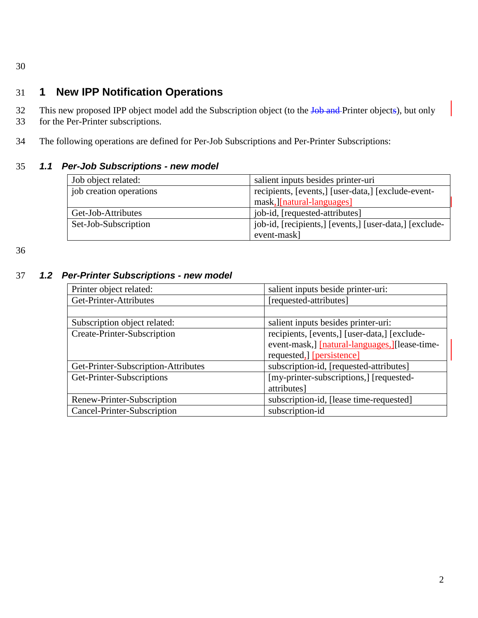30

## 31 **1 New IPP Notification Operations**

- 32 This new proposed IPP object model add the Subscription object (to the Job and Printer objects), but only
- 33 for the Per-Printer subscriptions.
- 34 The following operations are defined for Per-Job Subscriptions and Per-Printer Subscriptions:

## 35 *1.1 Per-Job Subscriptions - new model*

| Job object related:     | salient inputs besides printer-uri                     |
|-------------------------|--------------------------------------------------------|
| job creation operations | recipients, [events,] [user-data,] [exclude-event-     |
|                         | mask, [natural-languages]                              |
| Get-Job-Attributes      | job-id, [requested-attributes]                         |
| Set-Job-Subscription    | job-id, [recipients,] [events,] [user-data,] [exclude- |
|                         | event-mask]                                            |

36

## 37 *1.2 Per-Printer Subscriptions - new model*

| Printer object related:             | salient inputs beside printer-uri:             |
|-------------------------------------|------------------------------------------------|
| Get-Printer-Attributes              | [requested-attributes]                         |
|                                     |                                                |
| Subscription object related:        | salient inputs besides printer-uri:            |
| Create-Printer-Subscription         | recipients, [events,] [user-data,] [exclude-   |
|                                     | event-mask, [natural-languages, ] [lease-time- |
|                                     | requested, [persistence]                       |
| Get-Printer-Subscription-Attributes | subscription-id, [requested-attributes]        |
| Get-Printer-Subscriptions           | [my-printer-subscriptions,] [requested-        |
|                                     | attributes]                                    |
| Renew-Printer-Subscription          | subscription-id, [lease time-requested]        |
| Cancel-Printer-Subscription         | subscription-id                                |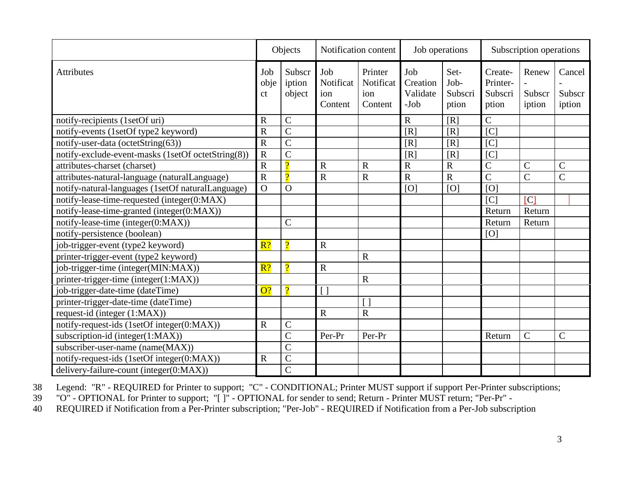|                                                    | Objects                  |                            | Notification content               |                                        | Job operations                        |                                  | Subscription operations                 |                           |                            |
|----------------------------------------------------|--------------------------|----------------------------|------------------------------------|----------------------------------------|---------------------------------------|----------------------------------|-----------------------------------------|---------------------------|----------------------------|
| Attributes                                         | Job<br>obje<br>ct        | Subscr<br>iption<br>object | Job<br>Notificat<br>ion<br>Content | Printer<br>Notificat<br>ion<br>Content | Job<br>Creation<br>Validate<br>$-Job$ | Set-<br>Job-<br>Subscri<br>ption | Create-<br>Printer-<br>Subscri<br>ption | Renew<br>Subscr<br>iption | Cancel<br>Subscr<br>iption |
| notify-recipients (1setOf uri)                     | $\mathbf R$              | $\mathcal{C}$              |                                    |                                        | $\mathbf R$                           | [R]                              | $\overline{C}$                          |                           |                            |
| notify-events (1setOf type2 keyword)               | $\overline{R}$           | $\overline{C}$             |                                    |                                        | [R]                                   | $\overline{[R]}$                 | [C]                                     |                           |                            |
| notify-user-data (octetString(63))                 | $\overline{R}$           | $\overline{C}$             |                                    |                                        | [R]                                   | [R]                              | [C]                                     |                           |                            |
| notify-exclude-event-masks (1setOf octetString(8)) | $\overline{R}$           | $\overline{C}$             |                                    |                                        | [R]                                   | [R]                              | [C]                                     |                           |                            |
| attributes-charset (charset)                       | $\overline{\text{R}}$    | $\overline{2}$             | $\mathbf R$                        | $\mathbf R$                            | $\overline{R}$                        | $\mathbf R$                      | $\overline{C}$                          | $\overline{C}$            | $\mathcal{C}$              |
| attributes-natural-language (naturalLanguage)      | $\overline{R}$           | $\Omega$                   | $\overline{R}$                     | $\overline{\text{R}}$                  | $\overline{R}$                        | $\overline{R}$                   | $\overline{C}$                          | $\overline{C}$            | $\overline{C}$             |
| notify-natural-languages (1setOf naturalLanguage)  | $\overline{O}$           | $\overline{O}$             |                                    |                                        | [O]                                   | [O]                              | [O]                                     |                           |                            |
| notify-lease-time-requested (integer(0:MAX)        |                          |                            |                                    |                                        |                                       |                                  | [C]                                     | [C]                       |                            |
| notify-lease-time-granted (integer(0:MAX))         |                          |                            |                                    |                                        |                                       |                                  | Return                                  | Return                    |                            |
| notify-lease-time (integer(0:MAX))                 |                          | $\overline{C}$             |                                    |                                        |                                       |                                  | Return                                  | Return                    |                            |
| notify-persistence (boolean)                       |                          |                            |                                    |                                        |                                       |                                  | [O]                                     |                           |                            |
| job-trigger-event (type2 keyword)                  | R?                       | $\overline{2}$             | $\mathbf R$                        |                                        |                                       |                                  |                                         |                           |                            |
| printer-trigger-event (type2 keyword)              |                          |                            |                                    | R                                      |                                       |                                  |                                         |                           |                            |
| job-trigger-time (integer(MIN:MAX))                | $\overline{\mathbf{R}?}$ | $\Omega$                   | $\mathbf R$                        |                                        |                                       |                                  |                                         |                           |                            |
| printer-trigger-time (integer(1:MAX))              |                          |                            |                                    | $\mathbf R$                            |                                       |                                  |                                         |                           |                            |
| job-trigger-date-time (dateTime)                   | O?                       | $\Omega$                   | $\lceil$ $\rceil$                  |                                        |                                       |                                  |                                         |                           |                            |
| printer-trigger-date-time (dateTime)               |                          |                            |                                    |                                        |                                       |                                  |                                         |                           |                            |
| request-id (integer (1:MAX))                       |                          |                            | $\mathbf R$                        | ${\bf R}$                              |                                       |                                  |                                         |                           |                            |
| notify-request-ids (1setOf integer(0:MAX))         | $\mathbf R$              | $\mathsf C$                |                                    |                                        |                                       |                                  |                                         |                           |                            |
| subscription-id (integer(1:MAX))                   |                          | $\overline{C}$             | Per-Pr                             | Per-Pr                                 |                                       |                                  | Return                                  | $\mathcal{C}$             | $\mathcal{C}$              |
| subscriber-user-name (name(MAX))                   |                          | $\overline{\rm C}$         |                                    |                                        |                                       |                                  |                                         |                           |                            |
| notify-request-ids (1setOf integer(0:MAX))         | $\mathbf R$              | $\overline{\rm C}$         |                                    |                                        |                                       |                                  |                                         |                           |                            |
| delivery-failure-count (integer(0:MAX))            |                          | $\overline{C}$             |                                    |                                        |                                       |                                  |                                         |                           |                            |

38 Legend: "R" - REQUIRED for Printer to support; "C" - CONDITIONAL; Printer MUST support if support Per-Printer subscriptions;<br>39 "O" - OPTIONAL for Printer to support; "[]" - OPTIONAL for sender to send; Return - Printer

39 "O" - OPTIONAL for Printer to support; "[ ]" - OPTIONAL for sender to send; Return - Printer MUST return; "Per-Pr" -

40 REQUIRED if Notification from a Per-Printer subscription; "Per-Job" - REQUIRED if Notification from a Per-Job subscription